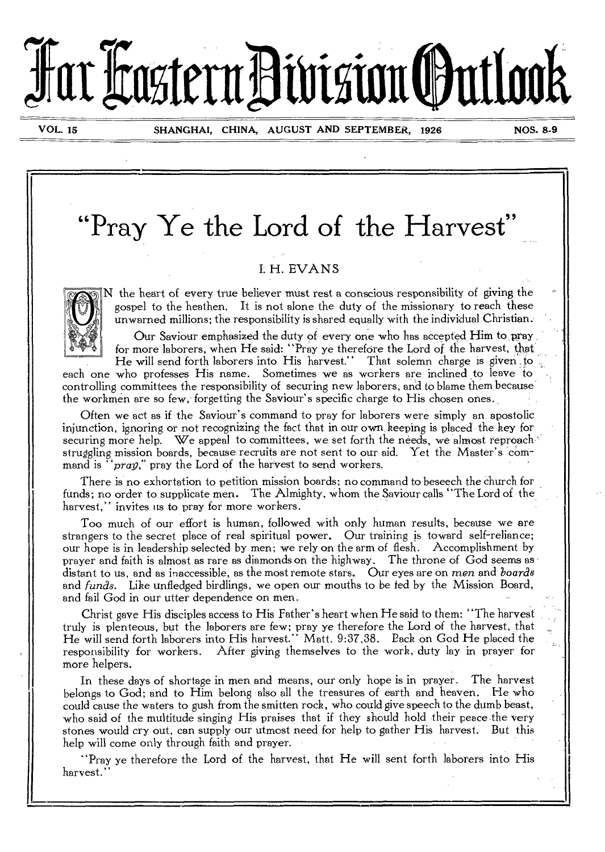# **JarliastentlitasiguOutiai**

**VOL. 15 SHANGHAI, CHINA, AUGUST AND SEPTEMBER, 1926 NOS. 8-9** 

**"Pray Ye the Lord of the Harvest"** 

# L H. EVANS



N the heart of every true believer must rest a conscious responsibility of giving the gospel to the heathen. It is not alone the duty of the missionary to reach these unwarned millions; the responsibility is shared equally with the individual Christian.

Our Saviour emphasized the duty of every one who has accepted. Him to pray for more laborers, when He said: "Pray ye therefore the Lord of the harvest, that, He will send forth laborers into His harvest." That solemn charge is given to

each one who professes His name. Sometimes we as workers are inclined to leave to controlling committees the responsibility of securing new laborers, and to blame them because the workmen are so few, forgetting the Saviour's specific charge to His chosen ones.

Often we act as if the Saviour's command to pray for laborers were simply an apostolic injunction, ignoring or not recognizing the fact that in our own keeping is placed the key for securing more help. We appeal to committees, we set forth the needs, we almost reproach struggling mission boards, because recruits are not sent to our aid. Yet the Master's command is *"prep,"* pray the Lord of the harvest to send workers.

There is no exhortation to petition mission boards; no command to beseech the church for funds; no order to supplicate men. The Almighty, whom the Saviour calls "The Lord of the harvest," invites us to pray for more workers.

Too much of our effort is human, followed with only human results, because we are strangers to the secret place of real spiritual power. Our training is toward self-reliance; our hope is in leadership selected by men; we rely on the arm of flesh. Accomplishment by prayer and faith is almost as rare as diamonds on the highway. The throne of God seems as distant to us, and as inaccessible, as the most remote stars. Our eyes are on *men* and *boards*  and *funds.* Like unfledged birdlings, we open our mouths to be fed by the Mission Board, and fail God in our utter dependence on men.

Christ gave His disciples access to His Father's heart when He said to them: "The harvest truly is plenteous, but the laborers are *few;* pray ye therefore the Lord of the harvest, that He will send forth laborers into His harvest." Matt. 9:37,38. Pack on God He placed the responsibility for workers. After giving themselves to the work, duty lay in prayer for more helpers.

In these days of shortage in men and means, our only hope is in prayer. The harvest belongs to God; and to Him belong also all the treasures of earth and heaven. He who could cause the waters to gush from the smitten rock, who could give speech to the dumb beast, who said of the multitude singing His praises that if they should hold their peace the very stones would cry out, can supply our utmost need for help to gather His harvest. But this help will come only through faith and prayer.

"Pray ye therefore the Lord of the harvest, that He will sent forth laborers into His harvest."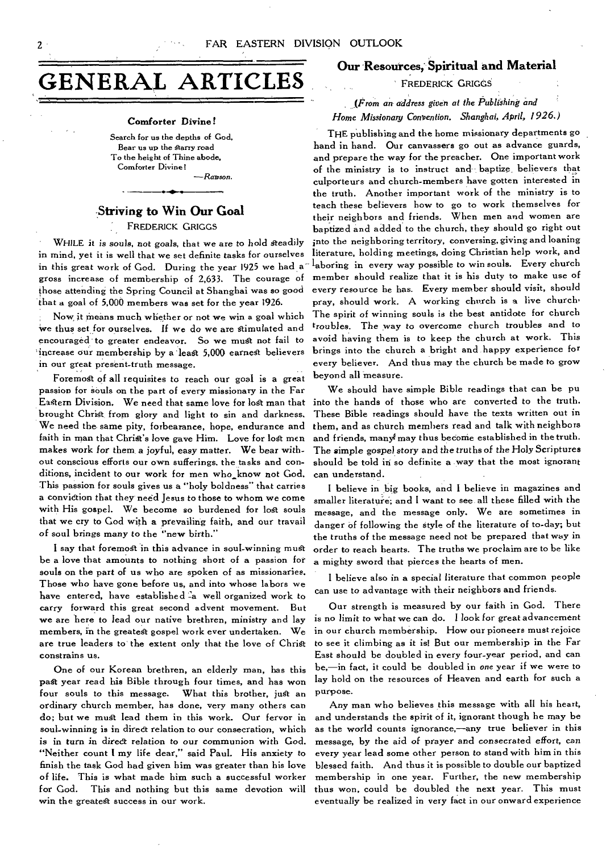# **GENERAL ARTICLE**

#### **Comforter Divine!**

Search for us the depths of God, Bear us up the Starry road To the height of Thine abode, Comforter Divine! —Rawson.

# **-Striving to Win Our Goal**

FREDERICK GRIGGS

WHILE it is souls, not goals, that we are to hold steadily in mind, yet it is well that we set definite tasks for ourselves in this great work of God. During the year 1925 we had a gross increase of membership of 2,633. The courage of those attending the Spring Council at Shanghai was so good that a goal of 5,000 members was set for the year 1926.

Now it means much whether or not we win a goal which We thus set for ourselves. If we do we are Stimulated and encouraged to greater endeavor. So we must not fail to 'increase our membership by a lea& 5,000 earnest believers in our great present-truth message.

Foremost of all requisites to reach our goal is a great passion for souls on the part of every missionary in the Far Eastern Division. We need that same love for lost man that brought Christ from glory and light to sin and darkness. We need the same pity, forbearance, hope, endurance and faith in man that Christ's love gave Him. Love for lost men *makes* work *for* them, a *joyful,* easy *matter.* We bear without conscious efforts our own sufferings, the tasks and conditions, incident to our work for men who know not God. This passion for souls gives us a "holy boldness" that carries a conviction that they need Jesus to those to whom we come with His gospel. We become so burdened for lost souls that we cry to God with a prevailing faith, and our travail of soul *brings many* to the "new birth."

I say that foremost in this advance in soul-winning must be a love that amounts to nothing short of a passion for souls on the part of us who are spoken of as missionaries. Those who have gone before us, and into whose labors *we*  have entered, have established a well organized work to carry forward this great second advent movement. But we are here to lead our native brethren, ministry and lay members, in the greatest gospel work ever undertaken. We are true leaders to' the extent only that the love of Christ constrains us.

One of our Korean brethren, an elderly man, has this past year read his Bible through four times, and has won four souls to this message. What this brother, just an ordinary church member, has done, very many others can do; but we must lead them in this work. Our fervor in soul-winning is in direct relation to our consecration, which is in *turn in* direct *relation* to *our communion* with God. "Neither count I my life dear," said Paul. His anxiety to finish the task God had given him was greater than his love of life. This is what made him such a successful worker for God. This and nothing but this same devotion will win the greatest success in our work.

# **Our Resources, Spiritual and Material**

FREDERICK GRIGGS

# *1Prom an address given at the Publishing and Home Missionary Convention. Shanghai, April, 1926.)*

THE publishing and the home missionary departments go hand in hand. **Our** canvassers go out as advance guards, and prepare the way for the preacher. One important work of the ministry is to instruct and baptize\_ believers that culporteurs and church-members have gotten interested in the truth. Another important work of the ministry is to teach these believers how to go to work themselves for their neighbors and friends. When men and women are baptized and added to the church, they should go right out into the neighboring territory, conversing, giving and loaning literature, holding meetings, doing Christian help work, and laboring in every way possible to win souls. Every church member should realize that it is his duty to make use of every resource he has. Every member should visit, should pray, should work. A working church is a live church• The spirit of winning souls is the best antidote for church troubles. The way to *overcome* church troubles and to avoid having them is to keep the church at work. This brings into the church a bright and happy experience for every believer. And thus may the church be made to grow beyond *all* measure.

We should have simple Bible readings that can be **pu**  into the hands of those who are converted to the truth. These Bible readings should have the texts written out in them, and as church members read and talk with neighbors and friends, many may thus become established in the truth. The *simple* gospel *story* and the *truths* of the Holy Scriptures should be told in so definite a way that the most ignorant can understand.

I believe in big books, and I believe in magazines and smaller literature; and I want to see all these filled with the message, and the message only. We are sometimes in danger of following the style of the literature of to-day; but the truths of the message need not be prepared that way in order to reach hearts. The truths we proclaim are to be like a mighty sword that pierces the hearts of men.

**<sup>I</sup>**believe also in a special literature that common people can use to advantage with their neighbors and friends.

Our strength is measured by our faith in God. There is no limit to what we can do. I look for great advancement in our church membership. How our pioneers must rejoice to see it climbing as it is! But our membership in the Far East should be doubled in every four-year period, and can be,—in fact, it could be doubled in one year if we were to lay hold on the resources of Heaven and earth for such a purpose.

Any man who believes this message with all his heart, and understands the spirit of it, ignorant though he may be as the world counts ignorance,—any true believer in this *message,* by the aid of prayer and *consecrated* effort, can every year lead some other person to stand with him in this blessed faith. And thus it is possible to double our baptized membership in one year. Further, the new membership thus won, could be doubled the next year. This must eventually be realized in very fact in our onward experience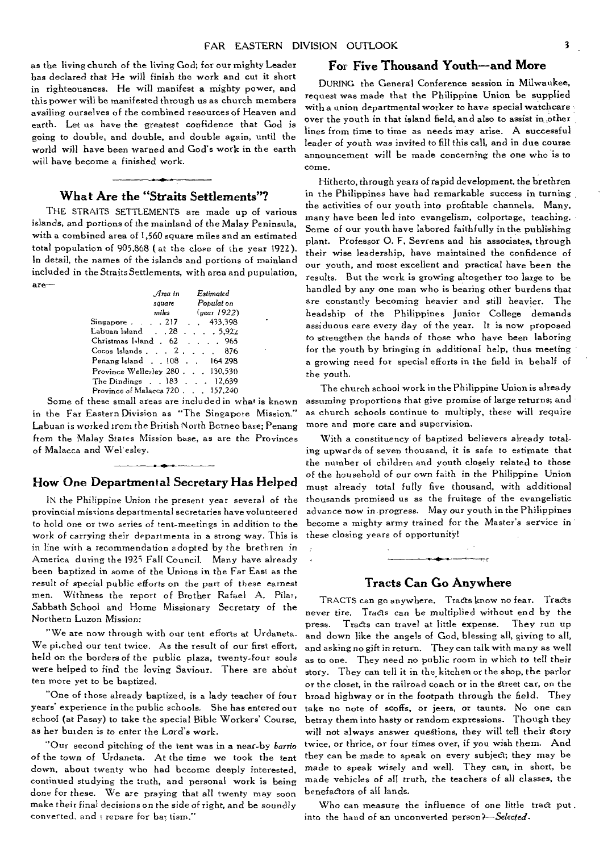as the living church of the living God; for our mighty Leader has declared that He will finish the work and cut it short in righteousness. He will manifest a mighty power, and this power will be manifested through us as church members availing ourselves of the combined resources of Heaven and earth. Let us have the greatest confidence that God is going to double, and double, and double again, until the world will have been warned and God's work in the earth will have become a finished work.

# • dr **What Are the "Straits Settlements"?**

THE STRAITS SETTLEMENTS are made up of various islands, and portions of the mainland of the Malay Peninsula, with a combined area of 1,560 square miles and an estimated total population of 905,868 ( at the close of the year 1922). In detail, the names of the islands and portions of mainland included in the Straits Settlements, with area and pupulation, are—

|                                                  | Area in | $\it Estimate$    |
|--------------------------------------------------|---------|-------------------|
|                                                  |         | square Population |
|                                                  | miles   | (year 1922)       |
| Singapore 217 433,398                            |         |                   |
| Labuan Island 28 5,922                           |         |                   |
| Christmas Island . 62                            |         | . 965             |
| $\frac{1}{2}$ Cocos Islands $\ldots$ 2, $\ldots$ |         | 876               |
| Penang Island 108 164 298                        |         |                   |
| Province Wellesley 280130.530                    |         |                   |
| The Dindings . 183 12,639                        |         |                   |
| Province of Malacca 720 157,240                  |         |                   |

Some of these small areas are included in what is known in the Far Eastern Division as "The Singapore Mission." Labuan is worked trom the British North Borneo base; Penang from the Malay States Mission base, as are the Provinces of Malacca and Wel'esley.

# **How One Departmental Secretary Has Helped**

IN the Philippine Union the present year several of the provincial missions departmental secretaries have volunteered to hold one or two series of tent-meetings in addition to the work of carrying their departmenta in a strong way. This is in line with a recommendation adopted by the brethren *in*  America during the 1925 Fall Council. Many have already been baptized in some of the Unions in the Far East as the result of special public efforts on the part of these earnest men. Withness the report of Brother Rafael A. Pilar, Sabbath School and Home Missionary Secretary of the Northern Luzon *Mission:* 

"We are now through with **our** tent efforts at Urdaneta. We pi,ched our tent twice. As the result of our first effort, held on the borders of the public plaza, twenty-four souls were helped to find the loving Saviour. There are about ten more yet to be baptized.

"One of those already baptized, is a lady teacher of four years' experience in the public schools. She has entered our school (at Pasay) to take the special Bible Workers' Course, as her burden is to enter the Lord's work.

"Our second pitching of the tent was in a near-by *barrio*  of the town *of* Urdaneta. At the *time* we took the tent down, about twenty who had become deeply interested, continued studying the truth, and personal work is being done for these. We are praying that all twenty may soon make their final decisions on the side of right, and be soundly converted. and repare for bay tism."

# **For Five Thousand Youth—and More**

DURING the General Conference session in Milwaukee, request was made that the Philippine Union be supplied with a union departmental worker to have special watchcare **over** the youth in that island field, and also to assist in other lines from time to time as needs may arise. A successful leader of youth was invited to fill this call, and in due course announcement will be made concerning the one who is to come.

Hitherto, through years of rapid development, the brethren in the Philippines have had remarkable success in turning the activities of our youth into profitable channels. Many, many have been led into evangelism, colportage, teaching. Some of our youth have labored faithfully in the publishing plant. Professor 0. F. Sevrens and his associates, through their wise leadership, have maintained the confidence of our youth, and most excellent and practical have been the results. But the work is growing altogether too large to be handled by any one man who is bearing other burdens that are constantly becoming heavier and still heavier. The headship of the Philippines Junior College demands assiduous care every day of the year. It is now proposed to strengthen the hands of those who have been laboring for the youth by bringing in additional help, thus meeting a growing need for special efforts in the field in behalf of the youth.

The church school work in the Philippine Union is already assuming proportions that give promise of large returns; and as church schools continue to multiply, these will require more and more care and supervision.

With a constituency of baptized believers already totaling upwards of seven thousand, it is safe to estimate that the number of children and youth closely related to those of the household of our own faith in the Philippine Union must already total fully five thousand, with additional thousands promised us as the fruitage of the evangelistic advance now in progress. May our youth in the Philippines become a mighty army trained for the Master's service in these closing years of opportunity!

# **Tracts Can Go Anywhere**

TRACTS can go anywhere. Tracts know no fear. Tracts never tire. Tracts can be multiplied without end by the press. Tracts can travel at little expense. They run up and down like the angels of God, blessing all, giving to all, and asking no gift in return. They can talk with many as well as to one. They need no public room in which to tell their story. They can tell it in the. kitchen or the shop, the parlor or the closet, in the railroad coach or in the greet car, on the broad highway or in the footpath through the field. They take no note of scoffs, or jeers, or taunts. No one can betray them into hasty or random expressions. Though they will not always answer questions, they will tell their story twice, or thrice, or four times over, if you wish them. And they can be made to speak on every subject; they may be made to speak wisely and well. They can, in short, be made vehicles of all truth, the teachers of all classes, the benefactors of all lands.

Who can measure the influence of one little tract put. into the hand of an unconverted person*?—Selected.*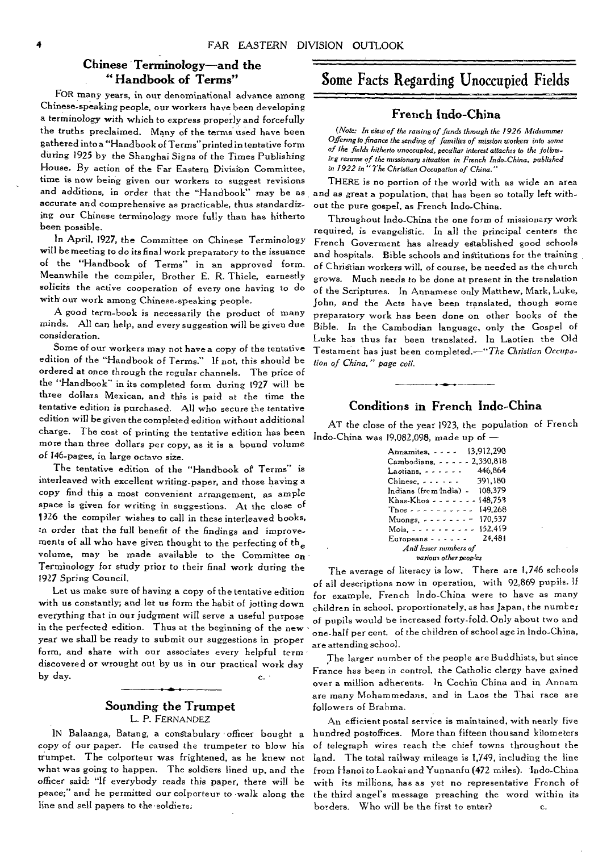# **Chinese Terminology—and the**

FOR many years, in our denominational advance among Chinese-speaking people, our workers have been developing a terminology with which to express properly and forcefully the truths preclaimed. Many of the terms used have been gathered into a "Handbook of Terms"printed in tentative form during 1925 by the Shanghai Signs of the Times Publishing House. By action of the Far Eastern Division Committee, time is now being given our workers to suggest revisions and additions, in order that the "Handbook" may be as accurate and comprehensive as practicable, thus standardizing our Chinese terminology more fully than has hitherto been possible.

*In* April, 1927, the Committee on Chinese Terminology will be meeting to do its final work preparatory to the issuance of the "Handbook of Terms'. in an approved form. Meanwhile the compiler, Brother E. R. Thiele, earnestly solicits the active cooperation of every one having to do with our work among Chinese-speaking people.

A good term-book is necessarily the product of many minds. All can help, and every suggestion will be given due consideration.

Some of our workers may not have a copy of the tentative edition of the "Handbook of Terms." If not, this should be ordered at once through the regular channels. The price of the "Handbook" in its completed form during 1927 will be three dollars Mexican, and this is paid at the time the tentative edition is purchased. All who secure the tentative edition will be given the completed edition without additional charge. The cost of printing the tentative edition has been more than three dollars per copy, as it is a bound volume of 146-pages, in large octavo size.

The tentative edition of the "Handbook of Terms" is interleaved with excellent writing-paper, and those having a copy find this a most convenient arrangement, as ample space is given for writing in suggestions. At the close of 1)26 the compiler wishes to call in these interleaved books, *:n* order that the full benefit of the findings and improvements of all who have given thought to the perfecting of the volume, may be made available to the Committee on Terminology for study prior to their final work during the 1927 Spring Council.

Let us make sure of having a copy of the tentative edition with us constantly; and let us form the habit of jotting down everything that in our judgment will serve a useful purpose in the perfected edition. Thus at the beginning of the new year we shall be ready to submit our suggestions in proper form, and share with our associates every helpful term discovered or wrought out by us in our practical work day by day.  $\qquad \qquad c.$ 

# **Sounding the Trumpet**  L. P. FERNANDEZ

IN Balaanga, Batang, a constabulary officer bought a copy of our paper. He caused the trumpeter to blow his trumpet. The colporteur was frightened, as he knew not what was going to happen. The soldiers lined up, and the officer said: "If everybody reads this paper, there will be peace;" and he permitted our colporteur to walk along the line and sell papers to the•soldiers,

# **" Handbook of Terms"** Some Facts Regarding Unoccupied Fields

# **French Indo-China**

*(Note: In view of the caning of funds through the 1926 Midsummer Offering to finance the sending of families of mission workers into some of the fields hitherto unoccupied, peculiar interest attaches to the folios, irg resume of the nussionarg situation in French Indo-China, published in 1922 in "The Christian* Occupation *of China."* 

THERE is no portion of the world with as wide an area and as great a population, that has been so totally left without the pure gospel, as French Indo-China.

Throughout Indo-China the one form of missionary work required, is evangelistic. In all the principal centers the French Goverment has already established good schools and hospitals. Bible schools and institutions for the training of Christian workers will, of course, be needed as the church grows. Much needs to be done at present in the translation of the Scriptures. In Annamese only Matthew, Mark, Luke, John, and the Acts have been translated, though some preparatory work has been done on other books of the Bible. In the Cambodian language, only the Gospel of Luke has thus far been translated, In Laotien the Old Testament has just been completed.—"The *Christian Occupalion of* China," *page cvii.* 

# **Conditions in French Indo-China**

AT the close of the year 1923, the population of French Indo-China was 19,082,098, made up of  $-$ 

| Annamites,  13,912,290                      |  |  |
|---------------------------------------------|--|--|
| Cambodians. 2.330.818                       |  |  |
| 446.864<br>Laotians,                        |  |  |
| 391.180<br>Chinese.                         |  |  |
| Indians (from India) - 108.379              |  |  |
| Khas-Khos - - - - - - - 148.753             |  |  |
| 149.268<br>Those $\cdots$ $\cdots$ $\cdots$ |  |  |
| Muongs, $- - - - 170,537$                   |  |  |
| Mois, $- - - - - - - - 152,419$             |  |  |
| Europeans $- - - - - 24.481$                |  |  |
| And lesser numbers of                       |  |  |
| various other peoples                       |  |  |

The average of literacy is low. There are 1,746 schools of all descriptions now in operation, with 92,869 pupils. If for example, French Indo-China were to have as many children in school, proportionately, as has Japan, the number of pupils would be increased forty-fold. Only about two and one-half per cent. of the children of school age in Indo-China, are attending school.

The larger number of the people are Buddhists, but since France has been in control, the Catholic clergy have gained over a million adherents. In Cochin China and in Annarn are many Mohammedans, and in Laos the Thai race are followers of Brahma.

An efficient postal service is maintained, with nearly five hundred postoffices. More than fifteen thousand kilometers of telegraph wires reach the chief towns throughout the land. The total railway mileage is 1,749, including the line from Hanoi to Laokai and Yunnanfu (472 miles). Indo-China with its millions, has as yet no representative French of the third angel's message preaching the word within its borders. Who will be the first to enter?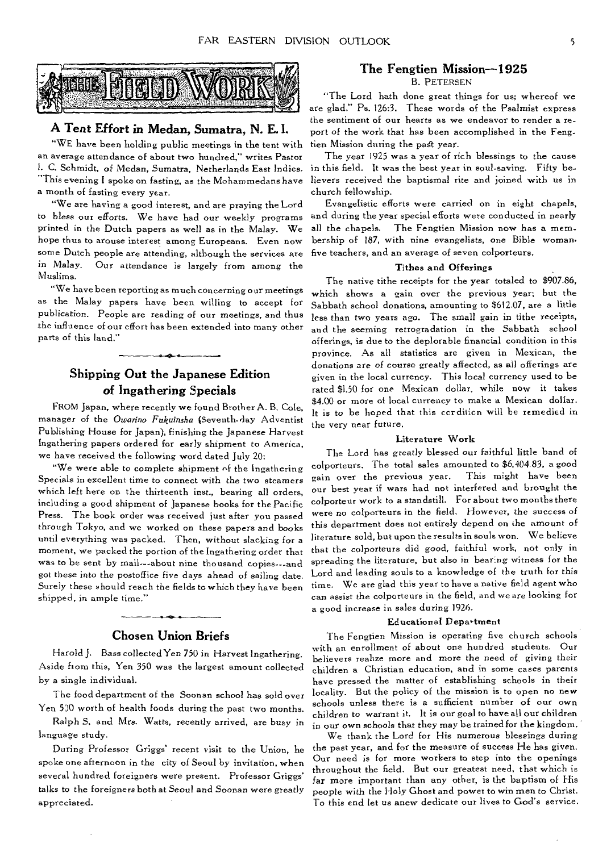

# **A Tent Effort in Medan, Sumatra, N. E. I.**

"WE have been holding public meetings in the tent with an average attendance of about two hundred," writes Pastor I. C. Schmidt, of Medan, Sumatra, Netherlands East Indies. "This evening I spoke on fasting, as the Mohammedans have a month of fasting every year.

"We are having a good interest, and are praying the Lord to bless our efforts. We have had our weekly programs printed in the Dutch papers as well as in the Malay. We hope thus to arouse interest among Europeans. Even now some Dutch people are attending, although the services are in Malay. Our attendance is largely from among the Muslims.

"We have been reporting as much concerning our meetings as the Malay papers have been willing to accept for publication. People are reading of our meetings, and thus the influence of our effort has been extended into many other parts of this land."

# **Shipping Out the Japanese Edition of Ingathering Specials**

FROM Japan, where recently we found Brother A. B. Cole, manager of the Owarino Fukuinsha (Seventh-day Adventist Publishing House for Japan), finishing the Japanese Harvest Ingathering papers ordered for early shipment to America, we have received the following word dated July 20:

"We were able to complete shipment of the Ingathering Specials in excellent time to connect with the two steamers which left here on the thirteenth inst., bearing all orders, including a good shipment of Japanese books for the Pacific Press. The book order was received just after you passed through Tokyo, and we worked on these papers and books until everything was packed. Then, without slacking for a moment, we packed the portion of the Ingathering order that was to be sent by mail---about nine thousand copies---and got these into the postoffice five days ahead of sailing date. Surely these should reach the fields to which they have been shipped, in ample time."

### **Chosen Union Briefs**

**Harold J.** Bass collected Yen 750 in Harvest Ingathering. Aside from this, Yen 350 was the largest amount collected by a single individual.

The food department of the Soonan school has sold over Yen 530 worth of health foods during the past two months.

Ralph S, and Mrs. Watts, recently arrived, are busy in language study.

During Professor Griggs' recent visit to the Union, he spoke one afternoon in the city of Seoul by invitation, when several hundred foreigners were present. Professor Griggs' talks to the foreigners both at Seoul and Soonan were greatly appreciated.

### **The Fengtien Mission-1925**  B. PETERSEN

"The Lord bath done great things for us; whereof we are glad." Ps. 126:3. These words of the Psalmist express the sentiment of our hearts as we endeavor to render a report of the work that has been accomplished in the Fengtien Mission during the past year.

The year 1925 was a year of rich blessings to the cause in this field. It was the best year in soul-saving. Fifty believers received the baptismal rite and joined with us in church fellowship.

Evangelistic efforts were carried on in eight **chapels,**  and during the year special efforts were conducted in nearly all the chapels. The Fengtien Mission now has a membership of 187, with nine evangelists, one Bible woman, five teachers, and an average of seven **colporteurs.** 

### **Tithes and Offerings**

The native tithe receipts for the year totaled to \$907.86, which shows a gain over the previous year; but the Sabbath school donations, amounting to \$612.07, are a little less than two years ago. The small gain in tithe receipts, and the seeming retrogradation in **the** Sabbath school offerings, is due to the deplorable financial condition in this province. As all statistics are given in Mexican, the donations are of course greatly affected, as all offerings are given in the local currency. This local currency used to be rated \$1.50 for one Mexican dollar, while now it takes \$4.00 or more of local currency to make a Mexican dollar. It is to be hoped that this cordition will be remedied in the very near future.

### **Literature Work**

The Lord has greatly blessed our faithful little band of colporteurs. The total sales amounted to \$6,404.83, a good gain over the previous year. This might have been our best year if wars had not interfered and brought the colporteur work to a standstill. For about two months there were no colporteurs in the field. However, the success of this department does not entirely depend on the amount of literature sold, but upon the results in souls won. We believe that the colporteurs did good, faithful work, not only in spreading the literature, but also in bearing witness for the Lord and leading souls to a knowledge of the truth for *this*  time. We are glad this year to have a native field agent who can assist the colporteurs in the field, and we are looking for a good increase in sales during **1926.** 

### **Educational Depaytment**

The Fengtien Mission is operating five church schools with an enrollment of about one hundred students. Our believers realize more and more the need of giving their **children** a Christian education, and in some cases parents **have** pressed the matter of establishing schools in their locality. But the policy of the mission is to open no new schools unless there is a sufficient number of our own children to warrant it. It is our goal to have all our children in our own schools that they may be trained **for the** kingdom.

We thank the Lord for His numerous blessings during the past year, and for the measure of success He has given. Our need is for more workers to step into the openings throughout the field. But our greatest need, that which is **far** more important than any other, is the baptism of His people with the Holy Ghost and power to win men to Christ. To this end let us anew dedicate our lives to God's service.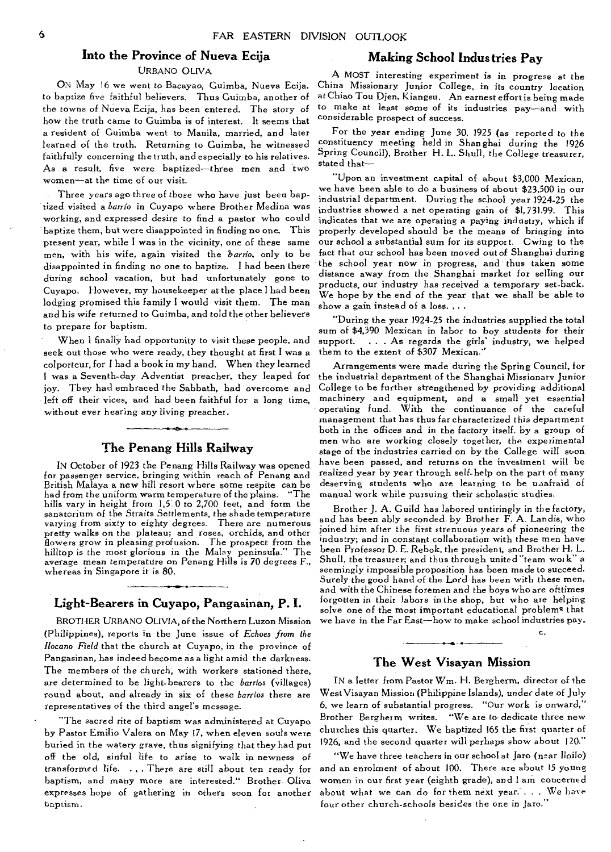# **Into the Province of Nueva Ecija**

### URBANO OLIVA

ON May 16 we went to Bacayao, Guimba, Nueva Ecija, to baptize five faithful believers. Thus Guirnba, another of the towns of Nueva Ecija, has been entered. The story of how the truth came to Guimba is of interest. It seems that a resident of Guimba went to Manila, married, and later learned of the truth. Returning to Guimba, he witnessed faithfully concerning the truth, and especially to his relatives. As a result, five were baptized—three men and two women—at the time of our visit.

Three years ago three of those who have just been baptized visited a *barrio* in Cuyapo where Brother Medina was working, and expressed desire to find a pastor who could baptize them, but were disappointed in finding no one. This present year, while I was in the vicinity, one of these same men, with his wife, again visited the *barrio,* only to be disappointed in finding no one to baptize. I had been there during school vacation, but had unfortunately gone to Cuyapo. However, my housekeeper at the place I had been lodging promised this family I would visit them. The man and his wife returned to Guimba, and told the other believers to prepare for baptism.

When I finally had opportunity to visit these people, and seek out those who were ready, they thought at first I was a colporteur, for I had a book in my hand. When they learned I was a Seventh-day Adventist preacher, they leaped for joy. They had embraced the Sabbath, had overcome and left off their vices, and had been faithful for a long time, without ever hearing any living preacher.

# **The Penang Hills Railway**

IN October of 1923 the Penang Hills Railway was opened for passenger service, bringing within reach of Penang and British Malaya a new hill resort where some respite can be had from the uniform warm temperature of the plains. "The hills vary in height from 1,5.0 to 2,700 feet, and form the sanatorium of the Straits Settlements, the shade temperature varying from sixty to eighty degrees. There are numerous pretty walks on the plateau; and roses, orchids, and other flowers grow in pleasing profusion. The prospect from the hilltop is the most glorious in the Malay peninsula." The average mean temperature on Penang Hills is 70 degrees F., whereas in Singapore it is 80.

# **Light-Bearers in Cuyapo, Pangasinan, P. I.**

BROTHER URBANO OLIVIA, of the Northern Luzon Mission (Philippines), reports in the June issue of *Echoes from the Ilocano Field* that the church at Cuyapo, in the province of Pangasinan, has indeed become as a light amid the darkness. The members of the church, with workers stationed there, are determined to be light-bearers to the *barrios* (villages) round about, and already in six of these *barrios* there are representatives of the third angel's message.

"The sacred rite of baptism was administered at Cuyapo by Pastor Emilio Valera on May 17, when eleven souls were buried in the watery grave, thus signifying that they had put off the old, sinful life to arise to walk in newness of transformed life. ... There are still about ten ready for baptism, and many more are interested." Brother- Oliva expresses hope of gathering in others soon for another baptism.

# **Making School Indus tries Pay**

A MOST interesting experiment is in progress at the China Missionary Junior College, in its country location at Chiao Tou Djen, Kiangsu. An earnest effort is being made to make at least some of its industries pay—and with considerable prospect of success.

For the year ending June 30, 1925 (as reported to the constituency meeting held in Shanghai during the 1926 Spring Council), Brother H. L. Shull, the College treasurer, stated that—

"Upon an investment capital of about \$3,000 Mexican, we have been able to do a business of about \$23,500 in our industrial department. During the school year 1924-25 the industries showed a net operating gain of \$1,731.99. This indicates that we are operating a paying industry, which if properly developed should be the means of bringing into our school a substantial sum for its support. Cwing to the fact that our school has been moved out of Shanghai during the school year now in progress, and thus taken some distance away from the Shanghai market for selling our products, our industry has received a temporary set-back. We hope by the end of the year that we shall be able to show a gain instead of a loss...

"During the year 1924-25 the industries supplied the total sum of \$4,390 Mexican in labor to boy students for their support. . . As regards the girls' industry, we helped them to the extent of \$307 Mexican."

Arrangements were made during the Spring Council, for the industrial department of the Shanghai Missionary Junior College to be further strengthened by providing additional machinery and equipment, and a small yet essential operating fund. With the continuance of the careful management that has thus far characterized this department both in the offices and in the factory itself, by a group of men who are working closely together, the experimental stage of the industries carried on by the College will soon have been passed, and returns on the investment will be realized year by year through self-help on the part of many deserving students who are learning to be unafraid of manual work while pursuing their scholastic studies.

Brother J. A. Guild has labored untiringly *in* the factory, and has been ably seconded by Brother F. A. Landis, who joined him after the first strenuous years of pioneering the industry; and in constant collaboration with these men have been Professor D. E. Rebok, the president, snd Brother H. L. Shull, the treasurer; and thus through united "team work" a seemingly impossible proposition has been made to succeed. Surely the good hand of the Lord has been with these men, and with the Chinese foremen and the boys who are ofttimes forgotten in their labors in the shop, but who are helping solve one of the most important educational problems that we have in the Far East—how to make school industries pay.

# **The West Visayan Mission**

c.

IN a letter from Pastor Wm. H. Bergherm, director of the West Visayan Mission (Philippine Islands), under date of July 6, we learn of substantial progress. "Our work is onward," Brother Bergherm writes. "We are to dedicate three new churches this quarter. We baptized 165 the first quarter of 1926, and the second quarter will perhaps show about 120."

"We have three teachers in our school at Jaro (near Iloilo) and an enrolment of about 100. There are about 15 young women in our first year (eighth grade), and I am concerned about what we can do for them next year.... We have four other church-schools besides the one in Jaro."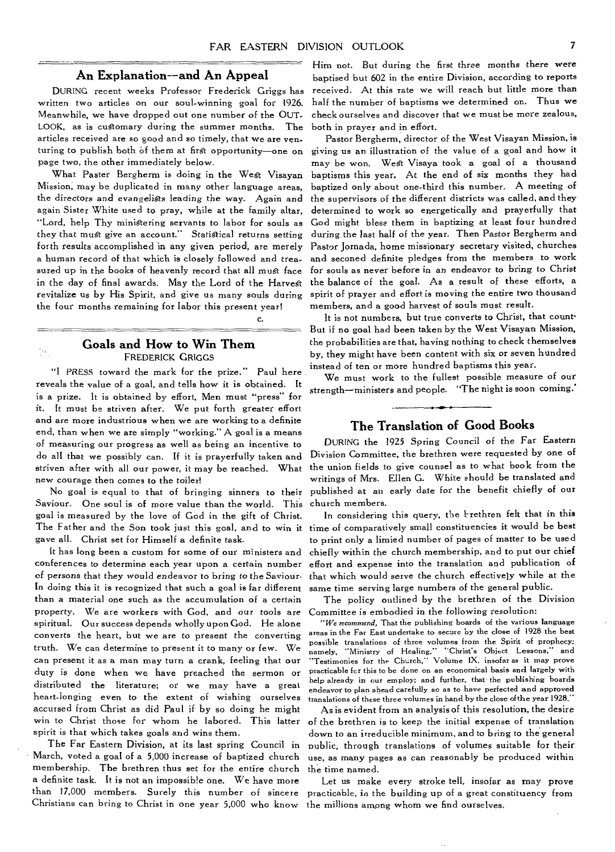# **An Explanation--and An Appeal**

DURING recent weeks Professor Frederick Griggs has written two articles on our soul-winning goal for 1926. Meanwhile, we have dropped out one number of the OUT-LOOK, as is customary during the summer months. The articles received are so good and so timely, that we are venturing to publish both of them at first opportunity—one on page two, the other immediately below.

What Paster Bergherm is doing in the West Visayan Mission, may be duplicated in many other language areas, the directors and evangeligts leading the way. Again and again Sister White used to pray, while at the family altar, "Lord, help Thy ministering servants to labor for souls as they that must give an account." Statistical returns setting forth results accomplished in any given period, are merely a human record of that which is closely followed and treasured up in the books of heavenly record that all must face in the day of final awards, May the Lord of the Harvest revitalize us by His Spirit, and give us many souls during the four months remaining for labor this present year!

## **Goals and How to Win Them**  FREDERICK GRIGGS

 $\gamma_{xy}$ 

c.

"I PRESS toward the mark for the prize." Paul here reveals the value of a goal, and tells how it is obtained. It is a prize. It is obtained by effort, Men must "press" for it. It must be striven after. We put forth greater effort and are more industrious when we are working to a definite end, than when we are simply "working." A goal is a means of measuring our progress as well as being an incentive to do all that we possibly can. If it is prayerfully taken and striven after with all our power, it may be reached. What new courage then comes to the toiler!

No goal is equal to that of bringing sinners to their Saviour. One soul is of more value than the world. This goal is measured by the love of God in the gift of Christ. The Father and the Son took just this goal, and to win it gave all. Christ set for Himself a definite task.

It has long been a custom for some of our ministers and conferences to determine each year upon a certain number of *persons* that they would endeavor to bring to the Saviour. In doing this it is recognized that such a goal is far different than a material one such as the accumulation of a certain property. We are workers with God, and our tools *are*  spiritual. Our success depends wholly upon God. He alone converts the heart, but we are to present the converting truth. We can determine to present it to many or few. We can present it as a man may turn a crank, feeling that our duty is done when we have preached the sermon or distributed the literature; or we may have a great heart-longing even to the extent of wishing ourselves accursed from Christ as did Paul if by so doing he might win to Christ those for whom he labored. This latter spirit is that which takes goals and wins them.

The Far Eastern Division, at its last spring Council in March, voted a goal of a 5,000 increase of baptized church membership. The brethren thus set for the entire church a definite task. It is not an impossible one. We have more than 17,000 members. Surely this number of sincere Christians can bring to Christ in one year 5,000 who know

Him not. But during the first three months there were baptised but 602 in the entire Division, according to reports received. At this rate we will reach but little more than half the number of baptisms we determined on. Thus we check ourselves and discover that we must be more zealous, both in prayer and in effort.

Pastor Bergherm, director of the West Visayan Mission, is giving us an illustration of the value of a goal and how it may be won. West Visaya took a goal of a thousand baptisms this year. At the end of six months they had baptized only about one-third this number. A meeting of the supervisors of the different districts was called, and they determined to work so energetically and prayerfully that God might bless them in baptizing at least four hundred during the last half of the year. Then Pastor Bergherm and Pastor Jornada, home missionary secretary visited, churches and seconed definite pledges from the members to work for souls as never before in an endeavor to bring to Christ the balance of the goal. As a result of these efforts, a spirit of prayer and effort is moving the entire two thousand members, and a good harvest of souls must result.

It is not numbers, but true converts to Christ, that count-But if no goal had been taken by the West Visayan Mission, the probabilities are that, having nothing to check themselves by, they might have been content with six or seven hundred instead of ten or more hundred baptisms this year.

We must work to the fullest possible measure of our strength—ministers and people. "The night is soon coming.'

# **The Translation of Good Books**

DURING the 1925 Spring Council *of* the Far Eastern Division Committee, the brethren were requested by one of the union fields to give counsel as to what book from the writings of Mrs. Ellen G. White should be translated and published at an early date for the benefit chiefly of our church members.

In considering this query, the brethren felt that in this time of comparatively small constituencies it would be best to print only a limied number of pages of matter to be used chiefly within the church membership, and to put our chief effort and expense into the translation and publication of that which would serve the church effectively while at the same time serving large numbers of the general public.

The policy outlined by the brethren of the Division Committee is embodied in the following resolution:

*"We recommend,* That the publishing boards of the various language areas in the Far East undertake to secure by the close of 1928 the best possible translations of three volumes from the Spirit of prophecy; namely, "Ministry of Healing," ''Christ's Object Lessons," and "Testimonies for the Church," Volume IX, insofar as it may prove practicable fcr this to be done on an economical basis and largely with help already *in our* employ; and further, that the publishing boards endeavor to plan ahead carefully so as to have perfected and approved translations of these three volumes in hand by the close of the year 1928."

As is evident from an analysis of this resolution, the desire of the brethren is to keep the initial expense of translation down to an irreducible minimum, and to bring to the general public, through translations of volumes suitable for their use, as many pages as can reasonably be produced within the time named.

Let us make every stroke tell, insofar as may prove practicable, in the building up of a great constituency from the millions among whom we find ourselves.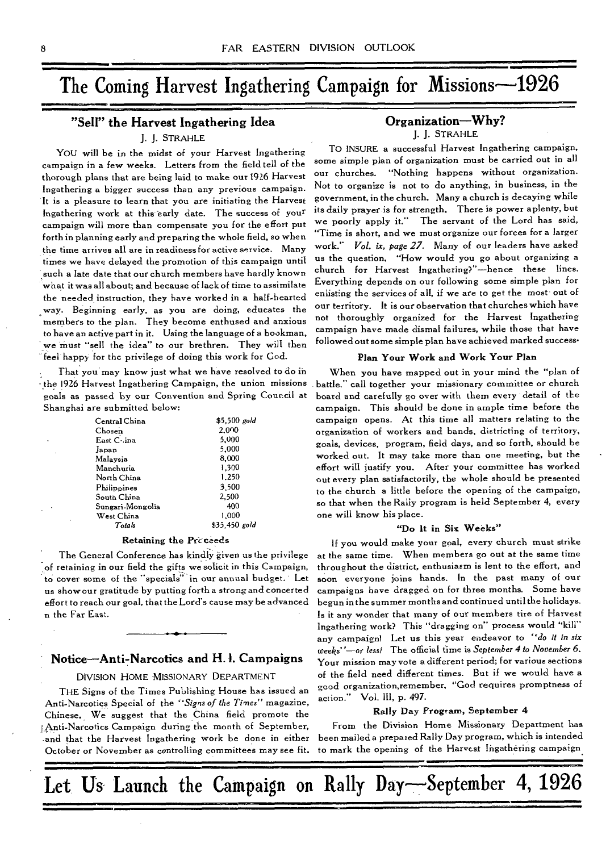# The Coming Harvest Ingathering Campaign for Missions-1926

# **"Sell" the Harvest Ingathering Idea**

## **J.** J. STRAHLE

YOU will be in the midst of your Harvest Ingathering campaign in a few weeks. Letters from the field tell of the thorough plans that are being laid to make our 1926 Harvest Ingathering a bigger success than any previous campaign. It is a pleasure to learn that you are initiating the Harvest Ingathering work at this early date. The success of your campaign will more than compensate you for the effort put forth in planning early and preparing the whole field, so when the time arrives all are in readiness for active service. Many times we have delayed the promotion of this campaign until such a late date that our church members have hardly known what it was all about; and because of lack of time to assimilate the needed instruction, they have worked in a half-hearted way. Beginning early, as you are doing, educates the members to the plan. They become enthused and anxious to have an active part in it. Using the language of a bookman, we must "sell the idea" to our brethren. They will then feel happy for the privilege of doing this work for Cod.

That you may know just what we have resolved to do in the 1926 Harvest Ingathering Campaign, the union missions goals as passed by our Convention and Spring Council at Shanghai are submitted below:

| Central China    | \$5.500 gold  |
|------------------|---------------|
| Chosen           | 2.000         |
| East Coina       | 5.000         |
| Japan            | 5.000         |
| Malaysia         | 8,000         |
| Manchuria        | 1,300         |
| North China      | 1.250         |
| Philippines      | 3.500         |
| South China      | 2.500         |
| Sungari-Mongolia | 400           |
| West China       | 1.000         |
| Totals           | \$35.450 gold |

### Retaining the Pre ceeds

The General Conference has kindly given us the privilege of retaining in our field the gifts we solicit in this Campaign, to cover some of the "specials" in our annual budget. Let us show our gratitude by putting forth a strong and concerted effort to reach our goal, that the Lord's cause may be advanced n the Far East.

# **Notice—Anti-Narcotics and H.1. Campaigns**

DIVISION HOME MISSIONARY DEPARTMENT

THE Signs of the Times Publishing House has issued an Anti-Narcotics Special of the *"Signs of* the Times" magazine, Chinese. We suggest that the China field promote the Anti-Narcotics Campaign during the month of September, and that the Harvest Ingathering work be done in either October or November as controlling committees may see fit.

# **Organization—Why?**

**J. J.** STRAHLE

TO INSURE a successful Harvest Ingathering campaign, some simple plan of organization must be carried out in all our churches. "Nothing happens without organization. Not to organize is not to do anything, in business, in the government, in the church. Many a church is decaying while its daily prayer is for strength. There is power aplenty, but we poorly apply it." The servant of the Lord has said, "Time is short, and we must organize our forces for a larger work." *Vol. ix, page 27.* Many of our leaders have asked us the question. "How would you go about organizing a church for Harvest Ingathering?"—hence these lines. Everything depends on our following some simple plan for enlisting the services of all, if we are to get the most out of our territory. It is our observation that churches which have not thoroughly organized for the Harvest Ingathering campaign have made dismal failures, while those that have followed out some simple plan have achieved marked success-

### Plan **Your Work and Work Your Plan**

When you have mapped out in your mind the "plan of battle." call together your missionary committee or church board and carefully go over with them every detail of the campaign. This should be done in ample time before the campaign opens. At this time all matters relating to the organization of workers and bands, districting of territory, goals, devices, program, field days, and so forth, should be worked out. It may take more than one meeting, but the effort will justify you. After your committee has worked out every plan satisfactorily, the whole should be presented to the church a little before the opening of the campaign, so that when the Rally program is held September 4, every one will know his place.

### **"Do It** in **Six Weeks"**

If you would make your goal, every church must strike at the same time. When members go out at the same time throughout the district, enthusiasm is lent to the effort, and soon everyone joins hands. In the past many of our campaigns have dragged on for three months. Some have begun in the summer months and continued until the holidays. Is it any wonder that many of our members tire of Harvest Ingathering work? This "dragging on" process would "kill" any campaign! Let us this year endeavor to *"do it in six weeks"—or less!* The official time is *September* 4 *to November 6.*  Your mission may vote a different period; for various sections of the field need different times. But if we would have a good organization,remember, "God requires promptness of action." Vol. **III, p. 497.** 

### **Rally** Day Program, **September 4**

From the Division Home Missionary Department has been mailed a prepared Rally Day program, which is intended to mark the opening of the Harvest Ingathering campaign.

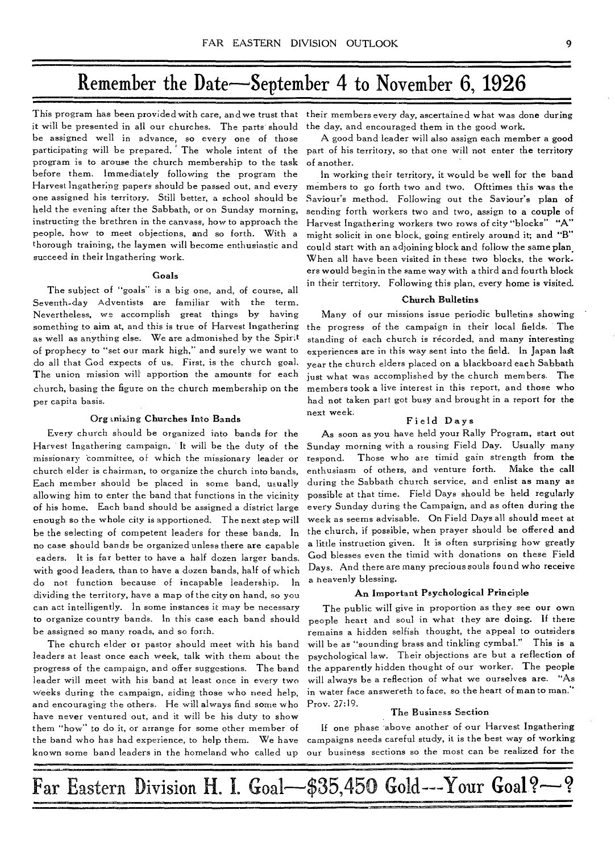# Remember the Date—September 4 to November 6, **1926**

This program has been provided with care, and we trust that their members every day, ascertained what was done during it will be presented in all our churches. The parts should be assigned well in advance, so every one of those participating will be prepared. The whole intent of the program is to arouse the church membership to the task before them. Immediately following the program the Harvest Ingathering papers should be passed out, and every one assigned his territory. Still better, a school should be held the evening after the Sabbath, or on Sunday morning, instructing the brethren in the canvass, how to approach the people, how to meet objections, and so forth. With a thorough training, the laymen will become enthusiastic and succeed in their Ingathering work.

### Goals

The subject of "goals" is a big one, and, of course, all Seventh-day Adventists are familiar with the term. Nevertheless, we accomplish great things by having something to aim at, and this is true of Harvest lngathering as well as anything else. We are admonished by the Spirit of prophecy to "set our mark high," and surely we want to do all that God expects of us. First, is the church goal. The union mission will apportion the amounts for each church, basing the figure on the church membership on the per capita basis.

### Organizing Churches Into Bands

Every church should be organized into bands for the Harvest Ingathering campaign. It will be the duty of the missionary 'committee, of which the missionary leader or church elder is chairman, to organize the church into bands, Each member should be placed in some band, usually allowing him to enter the band that functions in the vicinity of his home. Each band should be assigned a district large enough so the whole city is apportioned. The next step will be the selecting of competent leaders for these bands. In no case should bands be organized unless there are capable eaders. It is far better to have a half dozen larger bands. with good leaders, than to have a dozen bands, half of which do not function because of incapable leadership. In dividing the territory, have a map of the city on hand, so you can act intelligently. In some instances it may be necessary to organize country bands. In this case each band should be assigned so many roads, and so forth.

The church elder or pastor should meet with his band leaders at least once each week, talk with them about the progress of the campaign, and offer suggestions. The band leader will meet with his band at least once in every two weeks during the campaign, aiding those who need help, and encouraging the others. He will always find some who have never ventured out, and it will be his duty to show them "how" to do it, or arrange for some other member of the band who has had experience, to help them. We have known some band leaders in the homeland who called up

the day, and encouraged them in the good work.

A good band leader will also assign each member a good part of his territory, so that one will not enter the territory of another.

In working their territory, it would be well for the band members to go forth two and two. Ofttimes this was the Saviour's method. Following out the Saviour's plan of sending forth workers two and two, assign to a couple of Harvest Ingathering workers two rows of city "blocks" "A" might solicit in one block, going entirely around it; and "B" could start with an adjoining block and follow the same plan. When all have been visited in these two blocks, the workers would begin in the same way with a third and fourth block in their territory. Following this plan, every home is visited.

### Church Bulletins

Many of our missions issue periodic bulletins showing the progress of the campaign in their local fields. The standing of each church is recorded, and many interesting experiences are in this way sent into the field. In Japan last year the church elders placed on a blackboard each Sabbath just what was accomplished by the church members. The members took a live interest in this report, and those who had not taken part got busy and brought in a report for the next week.

### Field Days

As soon as you have held your Rally Program, start out Sunday morning with a rousing Field Day. Usually many respond. Those who are timid gain strength from the enthusiasm of others, and venture forth. Make the call during the Sabbath church service, and enlist as many as possible at that time. Field Days should be held regularly every Sunday during the Campaign, and as often during the week as seems advisable. On Field Days all should meet at the church, if possible, when prayer should be offered and a little instruction given. It is often surprising how greatly God blesses even the timid with donations on these Field Days. And there are many precious souls found who receive a heavenly blessing.

### An Important Psychological Principle

The public will give in proportion as they see our own people heart and soul in what they are doing. If there remains a hidden selfish thought, the appeal to outsiders will be as "sounding brass and tinkling cymbal." This is a psychological law. Their objections are but a reflection of the apparently hidden thought of our worker. The people will always be a reflection of what we ourselves are. "As in water face answereth to face, so the heart of man to man." Prov. 27:19.

### The Business Section

If one phase 'above another of our Harvest Ingathering campaigns needs careful study, it is the best way of working our business sections so the most can be realized for the

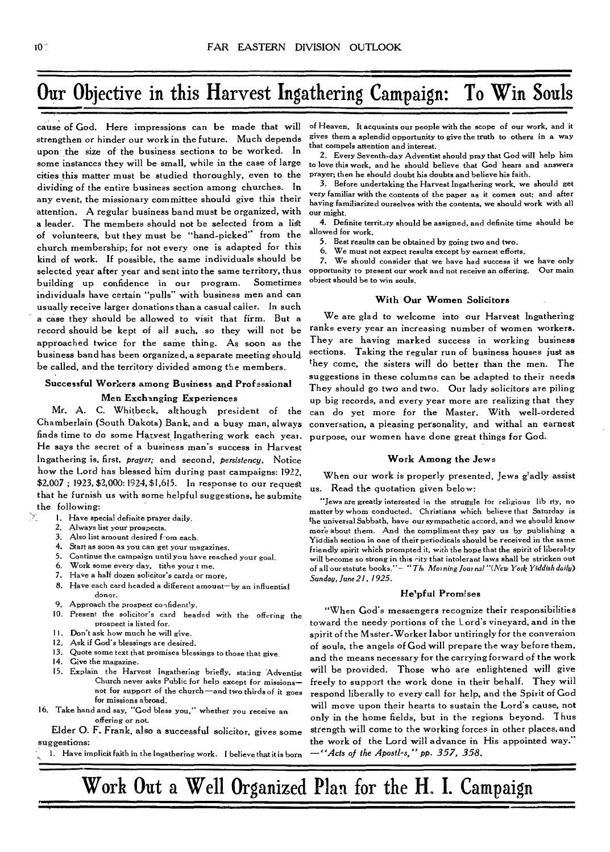# **Our Objective in this Harvest Ingathering Campaign: To Win Souls**

cause of God. Here impressions can be made that will strengthen or hinder our work in the future. Much depends upon the size of the business sections to be worked. In some instances they will be small, while in the case of large cities this matter must be studied thoroughly, even to the dividing of the entire business section among churches. In any event, the missionary committee should give this their attention. A regular business band must be organized, with a leader. The members should not be selected from a list of volunteers, but they must be "hand-picked" from the church membership; for not every one is adapted for this kind of work. If possible, the same individuals should be selected year after year and sent into the same territory, thus building up confidence in our program. Sometimes individuals have certain "pulls" with business men and can usually receive larger donations than a casual caller. In such **a** case they should be allowed to visit that firm. But a record should be kept of all such, so they will not be approached twice for the same thing. As soon as the business band has been organized, a separate meeting should be called, and the territory divided among the members.

## **Successful Workers among Business and Professional Men Exchanging Experiences**

**Mr. A. C.** Whitbeck, although president of the Chamberlain (South Dakota) Bank, and a busy man, always finds time to do some Harvest Ingathering work each year. He says the secret of a business man's success in Harvest Ingathering is, first, *prayer;* and second, *persistency.* Notice how the Lord has blessed him during past campaigns: 1922, \$2,007 ; 1923, \$2,000: 1924, \$1,615. In response to our **request**  that he furnish us with some helpful suggestions, he submite the following:

- 1. Have special definite prayer daily.<br>2. Always list your prospects
	- Always list your prospects.
	- 3. Also list amount desired  $f$ -om each.<br>4. Start as soon as you can get your ma
	- Start as soon as you can get your magazines.
	- 5. Continue the campaign until you have reached your goal.<br>6. Work some every day. tithe your t me.
	- Work some every day, tithe your t me.
	- 7. Have a half dozen solicitor's cards or more.
	- 8. Have each card headed a different amount—by an influential donor.
- 9. Approach the prospect confidently.
- 10. Present the solicitor's card headed with the offering the prospect is listed for.
- 11. Don't ask how much he will give.
- 12. Ask if God's blessings are desired.
- 13. Quote some text that promises blessings to those that give.
- 14. Give the magazine.
- 15. Explain the Harvest Ingathering briefly, stating Adventist Church never asks Public for help except for missions not for support of the church—and two thirds of it goes for missions abroad.
- 16. Take hand and say, "God bless you," whether you receive an offering or not.

Elder **0. F.** Frank, also a successful solicitor, gives some suggestions:

1. Have implicit faith in the Ingathering work. I believe that it is born

of Heaven, It acquaints our people with the scope of our work, and it gives them a splendid opportunity to give the truth to others in a way that compels attention and interest.

2. Every Seventh-day Adventist should pray that God will help him to love this work, and he should believe that God hears and answers prayer; then he should doubt his doubts and believe his faith.

3. Before undertaking the Harvest Ingathering work, we should get very familiar with the contents of the paper as it comes out; and after having familiarized ourselves with the contents, we should work with all our might.

4. Definite territ.yy should be assigned, and definite time should be allowed for work.

- 5. Best results can be obtained by going two and two.<br>6. We must not expect results except by earnest effort
- We must not expect results except by earnest efforts.

7. We should consider that we have had success if we have only opportunity to present our work and not receive an offering. Our main object should be to win souls.

## **With Our Women Solicitors**

We are glad to welcome into our Harvest Ingathering ranks every year an increasing number of women workers. They are having marked success in working business sections. Taking the regular run of business houses just as they come, the sisters will do better than the men. The suggestions in these columns can be adapted to their needs They should go two and two. Our lady solicitors are piling up big records, and every year more are realizing that they can do yet more for the Master. With well-ordered conversation, a pleasing personality, and withal an earnest purpose, our women have done great things **for God.** 

### **Work Among the** Jews

When our work is properly presented, Jews gladly assist us. Read the quotation given below:

"Jews are greatly interested in the struggle for religious lib rty, no matter by whom conducted. Christians which believe that Saturday is the universal Sabbath, have our sympathetic accord, and we should know more about them. And the compliment they pay us by publishing a Yiddish section in one of their periodicals should be received in the same friendly spirit which prompted it, with the hope that the spirit of liberality will become so strong in this <u>city that intolerant laws shall be stricken</u> out<br>of all ourstatute books."— *"Th. Morning Journal "(New York Yiddish daily) Sunday, June 21, 1925.* 

### **Helpful Promises**

"When God's messengers recognize their responsibilities toward the needy portions of the Lord's vineyard, and in the spirit of the Master-Worker labor untiringly for the conversion of souls, the angels of God will prepare the way before them, and the means necessary for the carrying forward of the work will be provided. Those who are enlightened will give freely to support the work done in their behalf. They will respond liberally to every call for help, and the Spirit of God will move upon their hearts to sustain the Lord's cause, not only in the home fields, but in the regions beyond. Thus strength will come to the working forces in other places, and the work of the Lord will advance in His appointed way." *—"Acts of the Apostl-s,"* pp. *357, 358.* 

**Work Out a Well Organized Plan for the H. I. Campaign**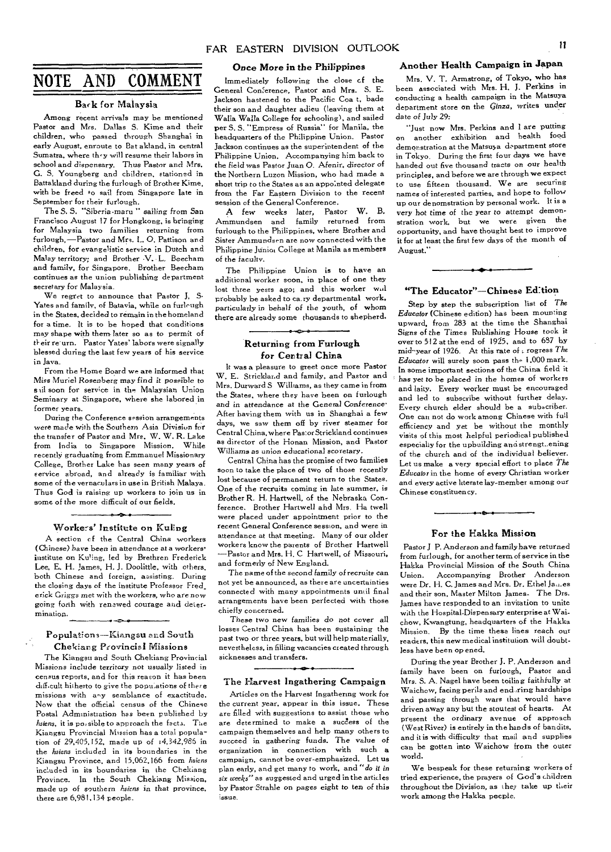# NOTE AND COMMENT

### Back for Malaysia

Among recent arrivals may be mentioned Pastor and Mrs. Dallas S. Kime and their children, who passed through Shanghai in early August, enroute to Bat akland, in central Sumatra, where th-y will resume their labors in school and dispensary. Thus Pastor *and Mrs.*  G. S. Youngberg and children, stationed in Battakland during the furlough of Brother Kime, with be freed to sail from Singapore late in

September for their furlough. The S. *S. "Siberia*-mare " *sailing from* San Francisco August 17 for Hongkong, is bringing for Malaysia two families returning from furlough,—Pastor and Mrs. 1.. 0. Pattison and children, for evangelistic service in Dutch and Malay territory; and Brother -V. L. Beecham and family, for Singapore. Brother Beecham continues as the union publishing department secretary for Malaysia.

We regret to announce that Pastor J, S. Yates and family, of Batavia, while on furleugh in the States, decided to remain in the homeland for a time. It is to be hoped that conditions may shape with them- later so as to permit of their re' urn. Pastor Yates' labors were signally blessed during the last few years of his service in Java.

From the Home Board we are informed that Miss Muriel Rosenberg may find it possible to sail soon for service in the Malaysian Union Seminary at Singapore, where she labored in former years.

During the Conference session arrangements were made with the Southern Asia Division for the transfer of Pastor and Mrs. W. W. R. Lake from India to Singapore Mission. While recently graduating from Emmanuel Missionary College, Brother Lake has seen many years of service abroad, and already is familiar with some of the vernaculars in use in British Malaya. Thus God is raising up workers to join us in some of the more difficult of our fields.

# Workers' Institute on Kuling

A section cf the Central China workers (Chinese) have been in attendance at a workers' institute on Kuling, led by Brethren Frederick Lee, E. H. James, H. J. Doolittle, with others, both Chinese and foreign, assisting. During the closing days of the institute Professor Fred. erick Griggs met with the workers, who are now going forth with renewed courage and determination. محدم

### Populations—Kiangsu and South Chekiang Provincial Missions

The Kiangsu and South Chekiang Provincial Missions include territory not usually listed in census reports, and for this reason it has been difficult hitherto to give the populations of there missions with any semblance of exactitude. Now that the official census of the Chinese Postal Administration has been published by *listens, it is* possible to approach the facts. The Kiangsu Provincial Mission has a total population of 29,405,152, made up of 14,342,986 in the *listens* included in its boundaries in the Kiangsu Province, and 15,062,166 from *listens*  included in its boundaries in the Chekiang Province. In the South Chekiang Mission, made up of southern *listens* in that *province,*  there are 6,981.134 people.

### Once More in the Philippines

Immediately following the close cf the General Conference, Pastor and Mrs. S. E. Jackson hastened to the Pacific Coa t, bade their son and daughter adieu (leaving them at Walla Walla College for schooling), and sailed per S. S. "Empress of Russia" for Manila, the headquarters of the Philippine Union. Pastor Jackson continues as the superintendent of the Philippine Union. Accompanying him back to the field was Pastor Juan 0. Afenir, director of the Northern Luzon Mission, who had made a short trip to the States as an appointed delegate from the Far Eastern Division to the recent session of the General Conference.

A few weeks later, Pastor W. B. Ammundsen and family returned from furlough to the Philippines, where Brother and Sister Ammundsen are now connected with the Philippine Junior College at Manila as members of the faculty.

The Philippine Union is to have an additional worker soon, in place of one they lost three yesrs ago; and this worker will probably be asked to ca.ry departmental work. particularly in *behalf of the youth,* of whom there are already some thousands to shepherd.

### Returning from Furlough for Central China

It was a pleasure to greet once more Pastor W. E. Strickland and family, and Pastor and Mrs. Durward S Williams, as they came in from the States, where they have been on furlough and in attendance at the General Conference<sup>.</sup> After having them with us in Shanghai a few days, we saw them off by river steamer for Central China, where Pastor Strickland continues as director of the Honan Mission, and Pastor Williams as union educational scoretary.

Central China has the promise of two families soon to take the place of two of those recently lost because of permanent return to the States. One of the recruits coming in late summer, is Brother R. H. Hartwell, of the Nebraska Conference. Brother Hartwell and Mrs. Ha twell were placed under appointment prior to the recent General Conference session, and were in attendance at that meeting. Many of our older workers know the parents of Brother Hartwell —Pastor and Mrs. H. C Hartwell, of Missouri, and formerly of New England.

The name of the second family of recruits can not yet be announced, as there are uncertainties connected with many appointments until final arrangements have been perfected with those chiefly concerned.

These two new families do not cover all losses Central China has been sustaining the past two or three years, but will help materially. nevertheless, in filling vacancies created through sicknesses and transfers,

### The Harvest Ingathering Campaign

Articles on the Harvest Ingathering work for the current year, appear in this issue. These are filled with suggestions to assist those who are determined to make a success of the campaign themselves and help many others to succeed in gathering funds. The value *of*  organization in connection with such *a*  campaign, cannot be over-emphasized. Let us Plan early, and get many to work, and "*do it in six weeks"* as suggested and urged in the articles by Pastor Strahle on pages eight to ten of this issue.

### Another Health Campaign **in** Japan

Mrs. V. T. Armstrong, of Tokyo, who has been associated with Mrs. H. J. Perkins in conducting a health campaign in the Matsuya department store on the *Ginza,* writes under date of *July* 29:

"Just now Mrs. Perkins and I are putting on another exhibition and health food demonstration at the Matsuya department store in Tokyo. During the first four days we have handed out five thousand tracts on our health principles, and before we are through we expect to use fifteen thousand. We are securing names of interested parties, and hope to follow up our denomstration by personal work. It is a very hot *time* of the year to attempt demonstration work, but we were given the opportunity, and have thought best to improve it for at least the first few days of the month of August."

# للمتحلف "The Educator"—Chinese Edition

Step by step the subscription list of *The Educator* (Chinese edition) has been mounting upward, from 283 at the time the Shanghai *Signs of* the Times Publishing *House* took it over to 512 at the end of 1925, and to 687 by mid-year of 1926. At this rate of a rogress The *Educator* will surely soon pass the 1,000 mark. In some important sections of the China field it has yet to be placed in the homes of workers and laity. Every worker must be encouraged and led to subscribe without further delay. Every church elder should be a subscriber. One can not do work among Chinese with full efficiency and yet be without the monthly visits of this most helpful periodical published especially for the upbuilding and strengt..ening of the church and of the individual believer. Let us make a very special effort to place *The Educator* in the home of every Christian worker and every active literate lay-member among our Chinese constituency.



Pastor *J* P. Anderson and family have returned from furlough, for another term of service in the Hakka Provincial Mission of the South China Accompanying Brother Anderson were Dr. H. C. James and Mrs. Dr. Ethel Jau.es and their son, Master Milton James. The Drs. James have responded to an invitation to unite with the Hospital-Dispensary enterprise at Waichow, Kwangtung, headquarters of the Hakka Mission. By the time these lines reach our readers, this new medical institution will doubtless have been opened.

During the year Brother J. P. Anderson and family have been on furlough, Pastor and Mrs. S. A. Nagel have been toiling faithfully at Waichow, facing perils and end ,ring hardships and passing through wars that would have driven away any but the stoutest of hearts. At present the ordinary avenue of approach (West River) is entirely in the hands of bandits, and it is with difficulty that mail and supplies can be gotten into Waichow from the outer world.

We bespeak for these returning workers of tried experience, the prayers of God's children throughout the Division, as they take up their work among the Hakka people.